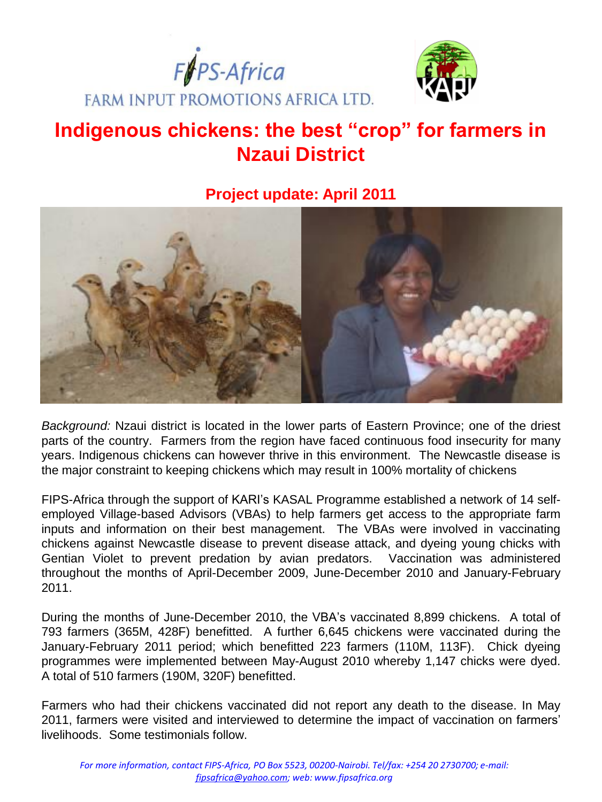



# **Indigenous chickens: the best "crop" for farmers in Nzaui District**

# **Project update: April 2011**



*Background:* Nzaui district is located in the lower parts of Eastern Province; one of the driest parts of the country. Farmers from the region have faced continuous food insecurity for many years. Indigenous chickens can however thrive in this environment. The Newcastle disease is the major constraint to keeping chickens which may result in 100% mortality of chickens

FIPS-Africa through the support of KARI's KASAL Programme established a network of 14 selfemployed Village-based Advisors (VBAs) to help farmers get access to the appropriate farm inputs and information on their best management. The VBAs were involved in vaccinating chickens against Newcastle disease to prevent disease attack, and dyeing young chicks with Gentian Violet to prevent predation by avian predators. Vaccination was administered throughout the months of April-December 2009, June-December 2010 and January-February 2011.

During the months of June-December 2010, the VBA's vaccinated 8,899 chickens. A total of 793 farmers (365M, 428F) benefitted. A further 6,645 chickens were vaccinated during the January-February 2011 period; which benefitted 223 farmers (110M, 113F). Chick dyeing programmes were implemented between May-August 2010 whereby 1,147 chicks were dyed. A total of 510 farmers (190M, 320F) benefitted.

Farmers who had their chickens vaccinated did not report any death to the disease. In May 2011, farmers were visited and interviewed to determine the impact of vaccination on farmers' livelihoods. Some testimonials follow.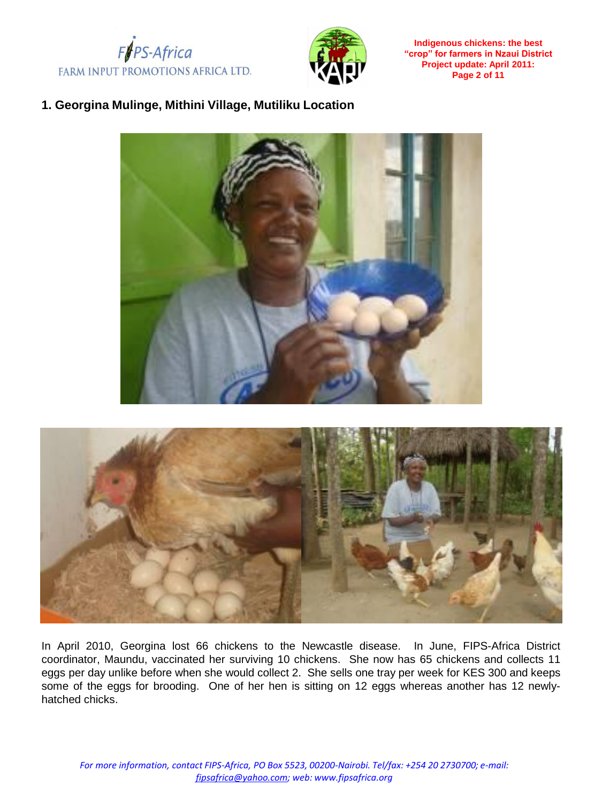



**Indigenous chickens: the best "crop" for farmers in Nzaui District Project update: April 2011: Page 2 of 11**

# **1. Georgina Mulinge, Mithini Village, Mutiliku Location**





In April 2010, Georgina lost 66 chickens to the Newcastle disease. In June, FIPS-Africa District coordinator, Maundu, vaccinated her surviving 10 chickens. She now has 65 chickens and collects 11 eggs per day unlike before when she would collect 2. She sells one tray per week for KES 300 and keeps some of the eggs for brooding. One of her hen is sitting on 12 eggs whereas another has 12 newlyhatched chicks.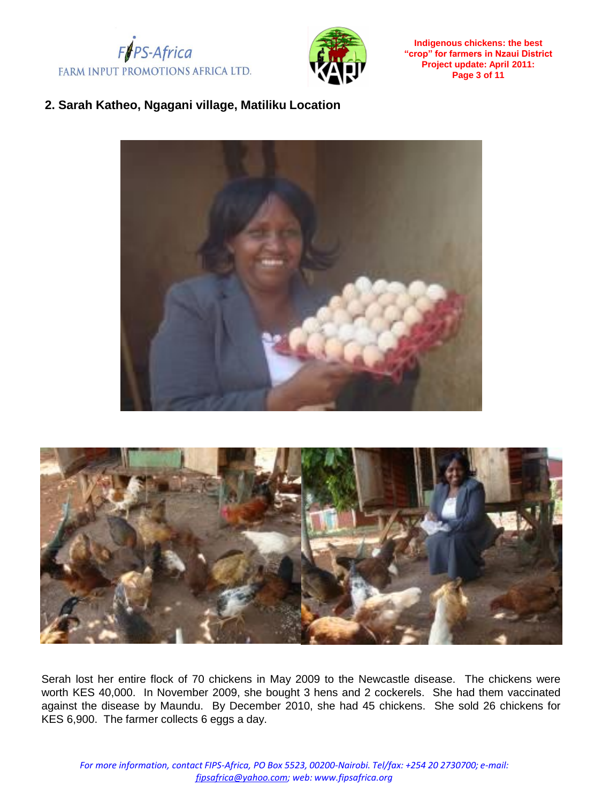



**Indigenous chickens: the best "crop" for farmers in Nzaui District Project update: April 2011: Page 3 of 11**

# **2. Sarah Katheo, Ngagani village, Matiliku Location**





Serah lost her entire flock of 70 chickens in May 2009 to the Newcastle disease. The chickens were worth KES 40,000. In November 2009, she bought 3 hens and 2 cockerels. She had them vaccinated against the disease by Maundu. By December 2010, she had 45 chickens. She sold 26 chickens for KES 6,900. The farmer collects 6 eggs a day.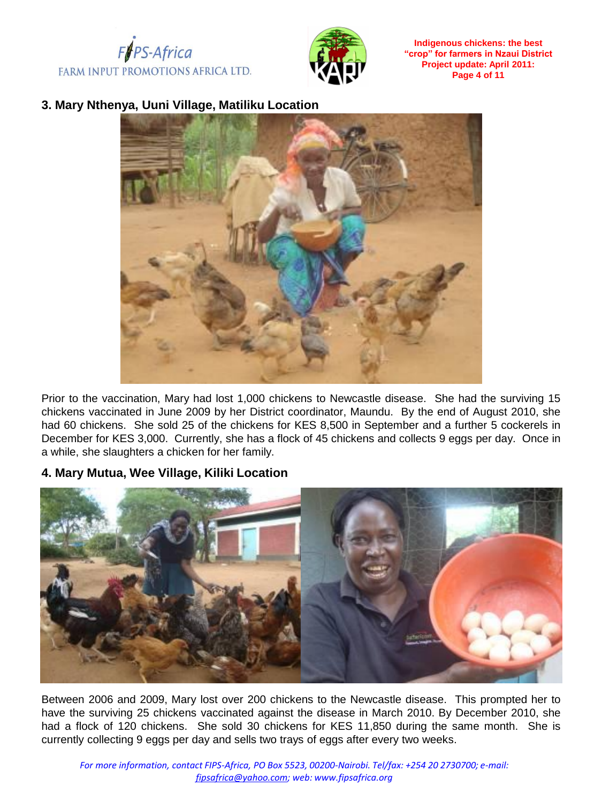



**Indigenous chickens: the best "crop" for farmers in Nzaui District Project update: April 2011: Page 4 of 11**

#### **3. Mary Nthenya, Uuni Village, Matiliku Location**



Prior to the vaccination, Mary had lost 1,000 chickens to Newcastle disease. She had the surviving 15 chickens vaccinated in June 2009 by her District coordinator, Maundu. By the end of August 2010, she had 60 chickens. She sold 25 of the chickens for KES 8,500 in September and a further 5 cockerels in December for KES 3,000. Currently, she has a flock of 45 chickens and collects 9 eggs per day. Once in a while, she slaughters a chicken for her family.

#### **4. Mary Mutua, Wee Village, Kiliki Location**



Between 2006 and 2009, Mary lost over 200 chickens to the Newcastle disease. This prompted her to have the surviving 25 chickens vaccinated against the disease in March 2010. By December 2010, she had a flock of 120 chickens. She sold 30 chickens for KES 11,850 during the same month. She is currently collecting 9 eggs per day and sells two trays of eggs after every two weeks.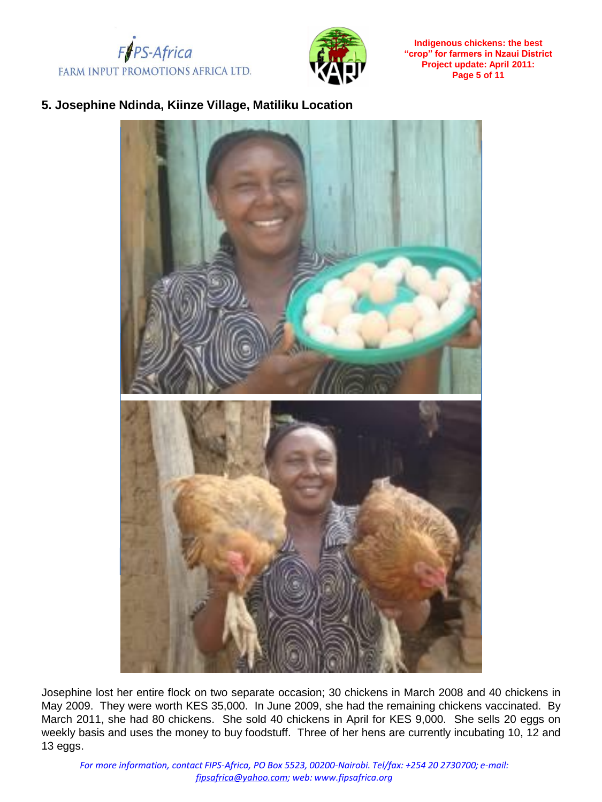



**Indigenous chickens: the best "crop" for farmers in Nzaui District Project update: April 2011: Page 5 of 11**

#### **5. Josephine Ndinda, Kiinze Village, Matiliku Location**



Josephine lost her entire flock on two separate occasion; 30 chickens in March 2008 and 40 chickens in May 2009. They were worth KES 35,000. In June 2009, she had the remaining chickens vaccinated. By March 2011, she had 80 chickens. She sold 40 chickens in April for KES 9,000. She sells 20 eggs on weekly basis and uses the money to buy foodstuff. Three of her hens are currently incubating 10, 12 and 13 eggs.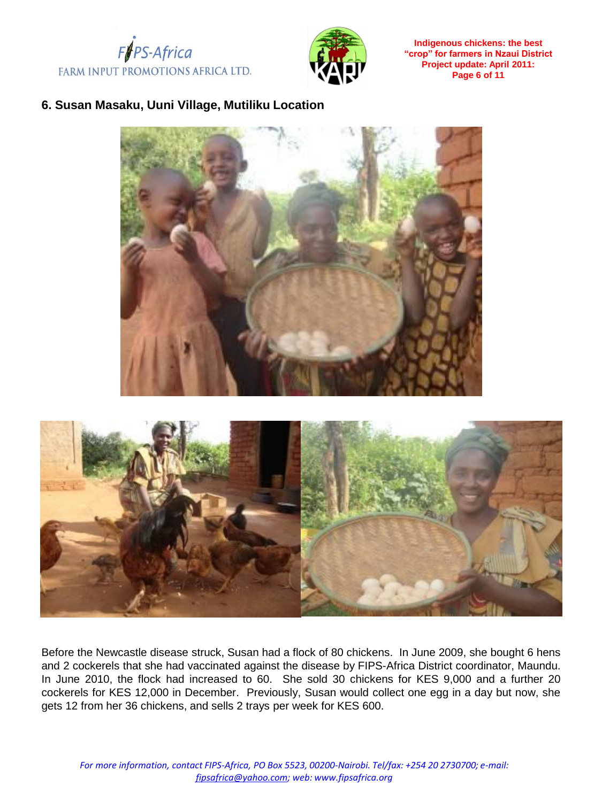



**Indigenous chickens: the best "crop" for farmers in Nzaui District Project update: April 2011: Page 6 of 11**

#### **6. Susan Masaku, Uuni Village, Mutiliku Location**





Before the Newcastle disease struck, Susan had a flock of 80 chickens. In June 2009, she bought 6 hens and 2 cockerels that she had vaccinated against the disease by FIPS-Africa District coordinator, Maundu. In June 2010, the flock had increased to 60. She sold 30 chickens for KES 9,000 and a further 20 cockerels for KES 12,000 in December. Previously, Susan would collect one egg in a day but now, she gets 12 from her 36 chickens, and sells 2 trays per week for KES 600.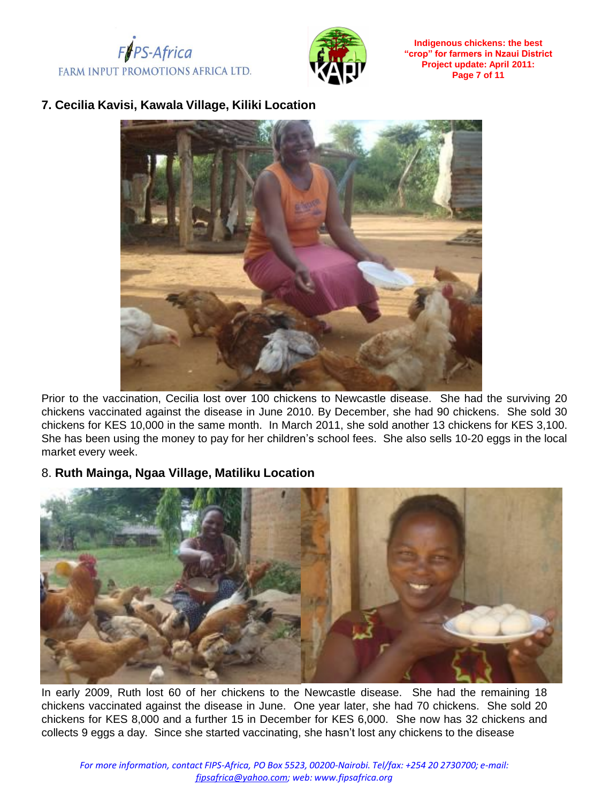



**Indigenous chickens: the best "crop" for farmers in Nzaui District Project update: April 2011: Page 7 of 11**

# **7. Cecilia Kavisi, Kawala Village, Kiliki Location**



Prior to the vaccination, Cecilia lost over 100 chickens to Newcastle disease. She had the surviving 20 chickens vaccinated against the disease in June 2010. By December, she had 90 chickens. She sold 30 chickens for KES 10,000 in the same month. In March 2011, she sold another 13 chickens for KES 3,100. She has been using the money to pay for her children's school fees. She also sells 10-20 eggs in the local market every week.

#### 8. **Ruth Mainga, Ngaa Village, Matiliku Location**



In early 2009, Ruth lost 60 of her chickens to the Newcastle disease. She had the remaining 18 chickens vaccinated against the disease in June. One year later, she had 70 chickens. She sold 20 chickens for KES 8,000 and a further 15 in December for KES 6,000. She now has 32 chickens and collects 9 eggs a day. Since she started vaccinating, she hasn't lost any chickens to the disease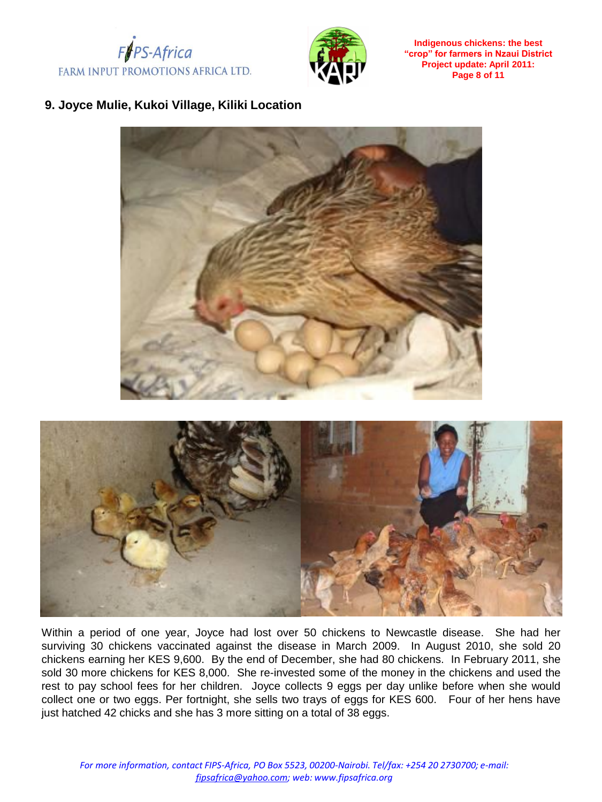



**Indigenous chickens: the best "crop" for farmers in Nzaui District Project update: April 2011: Page 8 of 11**

# **9. Joyce Mulie, Kukoi Village, Kiliki Location**



Within a period of one year, Joyce had lost over 50 chickens to Newcastle disease. She had her surviving 30 chickens vaccinated against the disease in March 2009. In August 2010, she sold 20 chickens earning her KES 9,600. By the end of December, she had 80 chickens. In February 2011, she sold 30 more chickens for KES 8,000. She re-invested some of the money in the chickens and used the rest to pay school fees for her children. Joyce collects 9 eggs per day unlike before when she would collect one or two eggs. Per fortnight, she sells two trays of eggs for KES 600. Four of her hens have just hatched 42 chicks and she has 3 more sitting on a total of 38 eggs.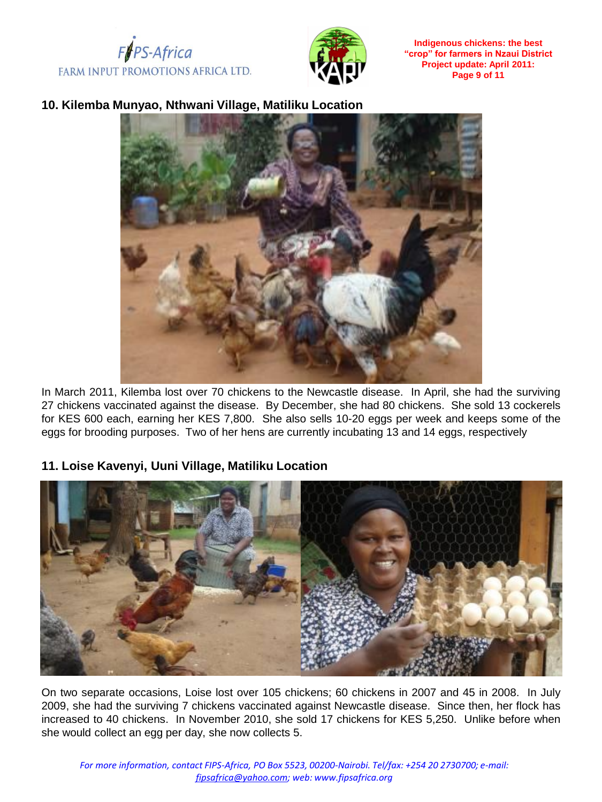



**Indigenous chickens: the best "crop" for farmers in Nzaui District Project update: April 2011: Page 9 of 11**

#### **10. Kilemba Munyao, Nthwani Village, Matiliku Location**



In March 2011, Kilemba lost over 70 chickens to the Newcastle disease. In April, she had the surviving 27 chickens vaccinated against the disease. By December, she had 80 chickens. She sold 13 cockerels for KES 600 each, earning her KES 7,800. She also sells 10-20 eggs per week and keeps some of the eggs for brooding purposes. Two of her hens are currently incubating 13 and 14 eggs, respectively

#### **11. Loise Kavenyi, Uuni Village, Matiliku Location**



On two separate occasions, Loise lost over 105 chickens; 60 chickens in 2007 and 45 in 2008. In July 2009, she had the surviving 7 chickens vaccinated against Newcastle disease. Since then, her flock has increased to 40 chickens. In November 2010, she sold 17 chickens for KES 5,250. Unlike before when she would collect an egg per day, she now collects 5.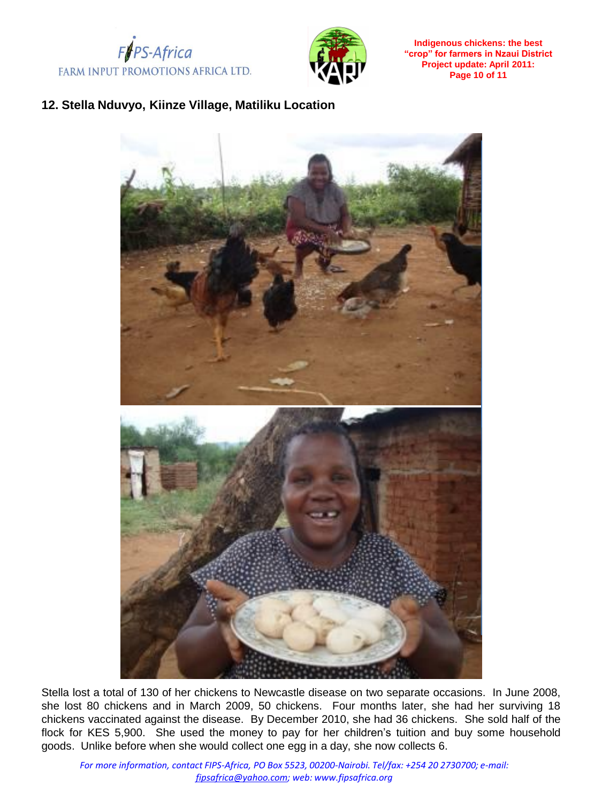



**Indigenous chickens: the best "crop" for farmers in Nzaui District Project update: April 2011: Page 10 of 11**

# **12. Stella Nduvyo, Kiinze Village, Matiliku Location**



Stella lost a total of 130 of her chickens to Newcastle disease on two separate occasions. In June 2008, she lost 80 chickens and in March 2009, 50 chickens. Four months later, she had her surviving 18 chickens vaccinated against the disease. By December 2010, she had 36 chickens. She sold half of the flock for KES 5,900. She used the money to pay for her children's tuition and buy some household goods. Unlike before when she would collect one egg in a day, she now collects 6.